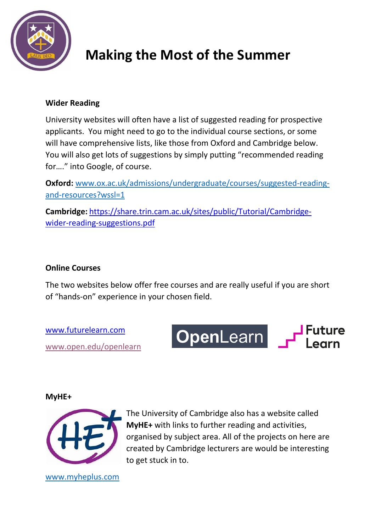

# **Making the Most of the Summer**

### **Wider Reading**

University websites will often have a list of suggested reading for prospective applicants. You might need to go to the individual course sections, or some will have comprehensive lists, like those from Oxford and Cambridge below. You will also get lots of suggestions by simply putting "recommended reading for…." into Google, of course.

**Oxford:** [www.ox.ac.uk/admissions/undergraduate/courses/suggested-reading](http://www.ox.ac.uk/admissions/undergraduate/courses/suggested-reading-and-resources?wssl=1)[and-resources?wssl=1](http://www.ox.ac.uk/admissions/undergraduate/courses/suggested-reading-and-resources?wssl=1)

**Cambridge:** [https://share.trin.cam.ac.uk/sites/public/Tutorial/Cambridge](https://share.trin.cam.ac.uk/sites/public/Tutorial/Cambridge-wider-reading-suggestions.pdf)[wider-reading-suggestions.pdf](https://share.trin.cam.ac.uk/sites/public/Tutorial/Cambridge-wider-reading-suggestions.pdf)

### **Online Courses**

The two websites below offer free courses and are really useful if you are short of "hands-on" experience in your chosen field.

[www.futurelearn.com](http://www.futurelearn.com/) [www.open.edu/openlearn](http://www.open.edu/openlearn) OpenLearn P

#### **MyHE+**



The University of Cambridge also has a website called **MyHE+** with links to further reading and activities, organised by subject area. All of the projects on here are created by Cambridge lecturers are would be interesting to get stuck in to.

[www.myheplus.com](http://www.myheplus.com/)